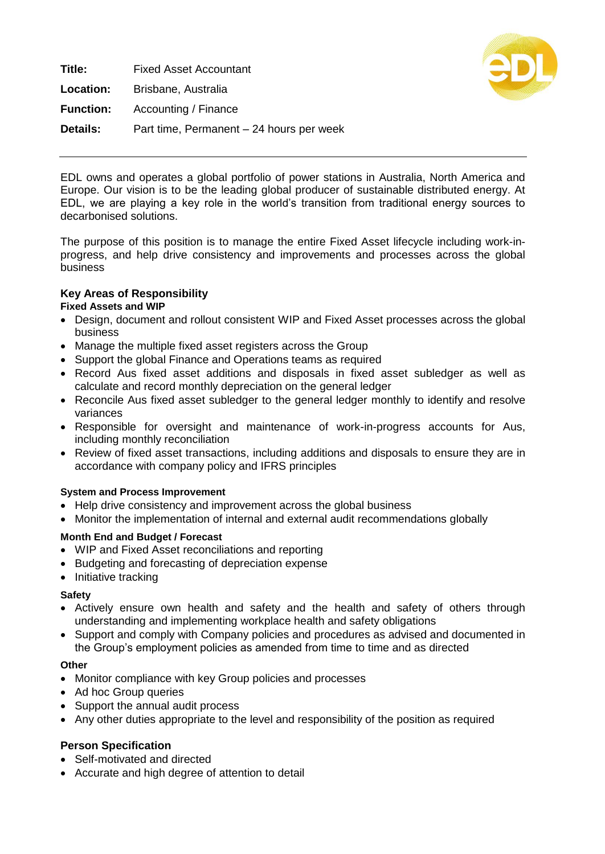**Title:** Fixed Asset Accountant **Location:** Brisbane, Australia **Function:** Accounting / Finance **Details:** Part time, Permanent – 24 hours per week



EDL owns and operates a global portfolio of power stations in Australia, North America and Europe. Our vision is to be the leading global producer of sustainable distributed energy. At EDL, we are playing a key role in the world's transition from traditional energy sources to decarbonised solutions.

The purpose of this position is to manage the entire Fixed Asset lifecycle including work-inprogress, and help drive consistency and improvements and processes across the global business

# **Key Areas of Responsibility**

## **Fixed Assets and WIP**

- Design, document and rollout consistent WIP and Fixed Asset processes across the global business
- Manage the multiple fixed asset registers across the Group
- Support the global Finance and Operations teams as required
- Record Aus fixed asset additions and disposals in fixed asset subledger as well as calculate and record monthly depreciation on the general ledger
- Reconcile Aus fixed asset subledger to the general ledger monthly to identify and resolve variances
- Responsible for oversight and maintenance of work-in-progress accounts for Aus, including monthly reconciliation
- Review of fixed asset transactions, including additions and disposals to ensure they are in accordance with company policy and IFRS principles

### **System and Process Improvement**

- Help drive consistency and improvement across the global business
- Monitor the implementation of internal and external audit recommendations globally

### **Month End and Budget / Forecast**

- WIP and Fixed Asset reconciliations and reporting
- Budgeting and forecasting of depreciation expense
- Initiative tracking

#### **Safety**

- Actively ensure own health and safety and the health and safety of others through understanding and implementing workplace health and safety obligations
- Support and comply with Company policies and procedures as advised and documented in the Group's employment policies as amended from time to time and as directed

#### **Other**

- Monitor compliance with key Group policies and processes
- Ad hoc Group queries
- Support the annual audit process
- Any other duties appropriate to the level and responsibility of the position as required

### **Person Specification**

- Self-motivated and directed
- Accurate and high degree of attention to detail